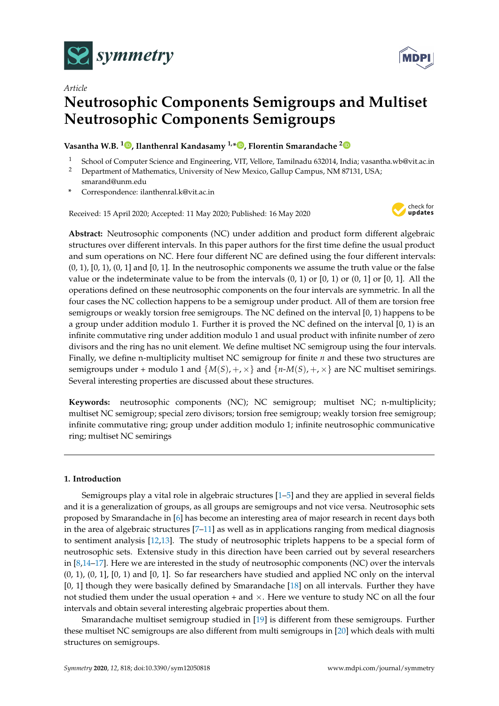



# *Article* **Neutrosophic Components Semigroups and Multiset Neutrosophic Components Semigroups**

## **Vasantha W.B. <sup>1</sup> [,](https://orcid.org/0000-0001-9832-1475) Ilanthenral Kandasamy 1,[\\*](https://orcid.org/0000-0003-4826-9466) , Florentin Smarandache [2](https://orcid.org/0000-0002-5560-5926)**

- <sup>1</sup> School of Computer Science and Engineering, VIT, Vellore, Tamilnadu 632014, India; vasantha.wb@vit.ac.in<br><sup>2</sup> Department of Mathematics, University of Now Mexico, Callup Campus, NM 87131, USA:
- <sup>2</sup> Department of Mathematics, University of New Mexico, Gallup Campus, NM 87131, USA; smarand@unm.edu
- **\*** Correspondence: ilanthenral.k@vit.ac.in

Received: 15 April 2020; Accepted: 11 May 2020; Published: 16 May 2020



**Abstract:** Neutrosophic components (NC) under addition and product form different algebraic structures over different intervals. In this paper authors for the first time define the usual product and sum operations on NC. Here four different NC are defined using the four different intervals:  $(0, 1)$ ,  $[0, 1)$ ,  $(0, 1]$  and  $[0, 1]$ . In the neutrosophic components we assume the truth value or the false value or the indeterminate value to be from the intervals  $(0, 1)$  or  $(0, 1)$  or  $(0, 1]$  or  $[0, 1]$ . All the operations defined on these neutrosophic components on the four intervals are symmetric. In all the four cases the NC collection happens to be a semigroup under product. All of them are torsion free semigroups or weakly torsion free semigroups. The NC defined on the interval [0, 1) happens to be a group under addition modulo 1. Further it is proved the NC defined on the interval [0, 1) is an infinite commutative ring under addition modulo 1 and usual product with infinite number of zero divisors and the ring has no unit element. We define multiset NC semigroup using the four intervals. Finally, we define n-multiplicity multiset NC semigroup for finite *n* and these two structures are semigroups under + modulo 1 and  $\{M(S), +, \times\}$  and  $\{n-M(S), +, \times\}$  are NC multiset semirings. Several interesting properties are discussed about these structures.

**Keywords:** neutrosophic components (NC); NC semigroup; multiset NC; n-multiplicity; multiset NC semigroup; special zero divisors; torsion free semigroup; weakly torsion free semigroup; infinite commutative ring; group under addition modulo 1; infinite neutrosophic communicative ring; multiset NC semirings

## **1. Introduction**

Semigroups play a vital role in algebraic structures [\[1](#page-9-0)[–5\]](#page-9-1) and they are applied in several fields and it is a generalization of groups, as all groups are semigroups and not vice versa. Neutrosophic sets proposed by Smarandache in [\[6\]](#page-9-2) has become an interesting area of major research in recent days both in the area of algebraic structures [\[7–](#page-9-3)[11\]](#page-9-4) as well as in applications ranging from medical diagnosis to sentiment analysis [\[12](#page-9-5)[,13\]](#page-9-6). The study of neutrosophic triplets happens to be a special form of neutrosophic sets. Extensive study in this direction have been carried out by several researchers in [\[8,](#page-9-7)[14](#page-9-8)[–17\]](#page-10-0). Here we are interested in the study of neutrosophic components (NC) over the intervals  $(0, 1)$ ,  $(0, 1]$ ,  $[0, 1]$  and  $[0, 1]$ . So far researchers have studied and applied NC only on the interval [0, 1] though they were basically defined by Smarandache [\[18\]](#page-10-1) on all intervals. Further they have not studied them under the usual operation  $+$  and  $\times$ . Here we venture to study NC on all the four intervals and obtain several interesting algebraic properties about them.

Smarandache multiset semigroup studied in [\[19\]](#page-10-2) is different from these semigroups. Further these multiset NC semigroups are also different from multi semigroups in [\[20\]](#page-10-3) which deals with multi structures on semigroups.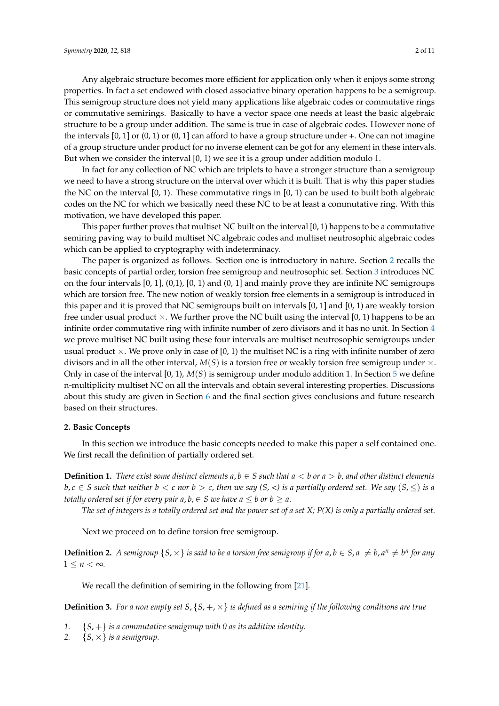Any algebraic structure becomes more efficient for application only when it enjoys some strong properties. In fact a set endowed with closed associative binary operation happens to be a semigroup. This semigroup structure does not yield many applications like algebraic codes or commutative rings or commutative semirings. Basically to have a vector space one needs at least the basic algebraic structure to be a group under addition. The same is true in case of algebraic codes. However none of the intervals [0, 1] or (0, 1) or (0, 1] can afford to have a group structure under +. One can not imagine of a group structure under product for no inverse element can be got for any element in these intervals. But when we consider the interval [0, 1) we see it is a group under addition modulo 1.

In fact for any collection of NC which are triplets to have a stronger structure than a semigroup we need to have a strong structure on the interval over which it is built. That is why this paper studies the NC on the interval  $[0, 1)$ . These commutative rings in  $[0, 1)$  can be used to built both algebraic codes on the NC for which we basically need these NC to be at least a commutative ring. With this motivation, we have developed this paper.

This paper further proves that multiset NC built on the interval  $[0, 1)$  happens to be a commutative semiring paving way to build multiset NC algebraic codes and multiset neutrosophic algebraic codes which can be applied to cryptography with indeterminacy.

The paper is organized as follows. Section one is introductory in nature. Section [2](#page-1-0) recalls the basic concepts of partial order, torsion free semigroup and neutrosophic set. Section [3](#page-2-0) introduces NC on the four intervals  $[0, 1]$ ,  $[0, 1]$ ,  $[0, 1)$  and  $(0, 1]$  and mainly prove they are infinite NC semigroups which are torsion free. The new notion of weakly torsion free elements in a semigroup is introduced in this paper and it is proved that NC semigroups built on intervals [0, 1] and [0, 1) are weakly torsion free under usual product  $\times$ . We further prove the NC built using the interval [0, 1) happens to be an infinite order commutative ring with infinite number of zero divisors and it has no unit. In Section [4](#page-4-0) we prove multiset NC built using these four intervals are multiset neutrosophic semigroups under usual product  $\times$ . We prove only in case of [0, 1) the multiset NC is a ring with infinite number of zero divisors and in all the other interval,  $M(S)$  is a torsion free or weakly torsion free semigroup under  $\times$ . Only in case of the interval [0, 1), *M*(*S*) is semigroup under modulo addition 1. In Section [5](#page-6-0) we define n-multiplicity multiset NC on all the intervals and obtain several interesting properties. Discussions about this study are given in Section [6](#page-8-0) and the final section gives conclusions and future research based on their structures.

## <span id="page-1-0"></span>**2. Basic Concepts**

In this section we introduce the basic concepts needed to make this paper a self contained one. We first recall the definition of partially ordered set.

**Definition 1.** There exist some distinct elements  $a, b \in S$  such that  $a < b$  or  $a > b$ , and other distinct elements  $b, c \in S$  *such that neither*  $b < c$  *nor*  $b > c$ , *then we say*  $(S, <)$  *is a partially ordered set. We say*  $(S, \leq)$  *is a totally ordered set if for every pair*  $a, b \in S$  *we have*  $a \leq b$  *or*  $b \geq a$ *.* 

*The set of integers is a totally ordered set and the power set of a set X; P(X) is only a partially ordered set.*

Next we proceed on to define torsion free semigroup.

**Definition 2.** A semigroup  $\{S, \times\}$  is said to be a torsion free semigroup if for  $a, b \in S$ ,  $a \neq b$ ,  $a^n \neq b^n$  for any  $1 \leq n < \infty$ .

We recall the definition of semiring in the following from [\[21\]](#page-10-4).

**Definition 3.** For a non empty set  $S$ ,  $\{S, +, \times\}$  is defined as a semiring if the following conditions are true

- *1.* {*S*, +} *is a commutative semigroup with 0 as its additive identity.*
- 2.  ${S, \times}$  *is a semigroup.*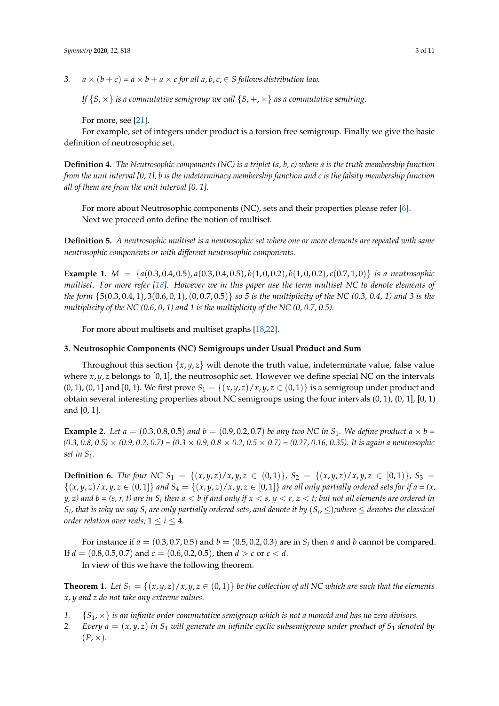*3.*  $a \times (b + c) = a \times b + a \times c$  for all  $a, b, c \in S$  follows distribution law.

*If*  $\{S, \times\}$  *is a commutative semigroup we call*  $\{S, +, \times\}$  *as a commutative semiring.* 

For more, see [\[21\]](#page-10-4).

For example, set of integers under product is a torsion free semigroup. Finally we give the basic definition of neutrosophic set.

**Definition 4.** *The Neutrosophic components (NC) is a triplet (a, b, c) where a is the truth membership function from the unit interval [0, 1], b is the indeterminacy membership function and c is the falsity membership function all of them are from the unit interval [0, 1].*

For more about Neutrosophic components (NC), sets and their properties please refer [\[6\]](#page-9-2). Next we proceed onto define the notion of multiset.

**Definition 5.** *A neutrosophic multiset is a neutrosophic set where one or more elements are repeated with same neutrosophic components or with different neutrosophic components.*

**Example 1.**  $M = \{a(0.3, 0.4, 0.5), a(0.3, 0.4, 0.5), b(1, 0, 0.2), b(1, 0, 0.2), c(0.7, 1, 0)\}$  *is a neutrosophic multiset. For more refer [\[18\]](#page-10-1). However we in this paper use the term multiset NC to denote elements of the form* {5(0.3, 0.4, 1), 3(0.6, 0, 1),(0, 0.7, 0.5)} *so 5 is the multiplicity of the NC (0.3, 0.4, 1) and 3 is the multiplicity of the NC (0.6, 0, 1) and 1 is the multiplicity of the NC (0, 0.7, 0.5).*

For more about multisets and multiset graphs [\[18,](#page-10-1)[22\]](#page-10-5).

### <span id="page-2-0"></span>**3. Neutrosophic Components (NC) Semigroups under Usual Product and Sum**

Throughout this section  $\{x, y, z\}$  will denote the truth value, indeterminate value, false value where  $x, y, z$  belongs to [0,1], the neutrosophic set. However we define special NC on the intervals  $(0, 1)$ ,  $(0, 1]$  and  $[0, 1)$ . We first prove  $S_1 = \{(x, y, z) / x, y, z \in (0, 1)\}$  is a semigroup under product and obtain several interesting properties about NC semigroups using the four intervals  $(0, 1)$ ,  $(0, 1]$ ,  $[0, 1)$ and [0, 1].

**Example 2.** Let  $a = (0.3, 0.8, 0.5)$  and  $b = (0.9, 0.2, 0.7)$  be any two NC in  $S_1$ . We define product  $a \times b =$ *(0.3, 0.8, 0.5)* × *(0.9, 0.2, 0.7) = (0.3* × *0.9, 0.8* × *0.2, 0.5* × *0.7) = (0.27, 0.16, 0.35). It is again a neutrosophic set in S*1*.*

**Definition 6.** The four NC  $S_1 = \{(x,y,z)/x,y,z \in (0,1)\}\$ ,  $S_2 = \{(x,y,z)/x,y,z \in [0,1)\}\$ ,  $S_3 =$  $\{(x, y, z)/x, y, z \in (0,1]\}$  and  $S_4 = \{(x, y, z)/x, y, z \in [0,1]\}$  are all only partially ordered sets for if  $a = (x, y, z)/x$  $y$ ,  $z$ ) and  $b$  = (s,  $r$ ,  $t$ ) are in  $S_i$  then  $a < b$  if and only if  $x < s$ ,  $y < r$ ,  $z < t$ ; but not all elements are ordered in  $S_i$ , that is why we say  $S_i$  are only partially ordered sets, and denote it by  $(S_i,\leq)$ ;where  $\leq$  denotes the classical *order relation over reals;*  $1 \le i \le 4$ *.* 

For instance if  $a = (0.3, 0.7, 0.5)$  and  $b = (0.5, 0.2, 0.3)$  are in  $S_i$  then  $a$  and  $b$  cannot be compared. If *d* = (0.8, 0.5, 0.7) and *c* = (0.6, 0.2, 0.5), then *d* > *c* or *c* < *d*.

In view of this we have the following theorem.

**Theorem 1.** Let  $S_1 = \{(x, y, z)/x, y, z \in (0, 1)\}$  be the collection of all NC which are such that the elements *x, y and z do not take any extreme values.*

- *1.* {*S*1, ×} *is an infinite order commutative semigroup which is not a monoid and has no zero divisors.*
- 2. *Every*  $a = (x, y, z)$  *in*  $S_1$  *will generate an infinite cyclic subsemigroup under product of*  $S_1$  *denoted by*  $(P, \times)$ .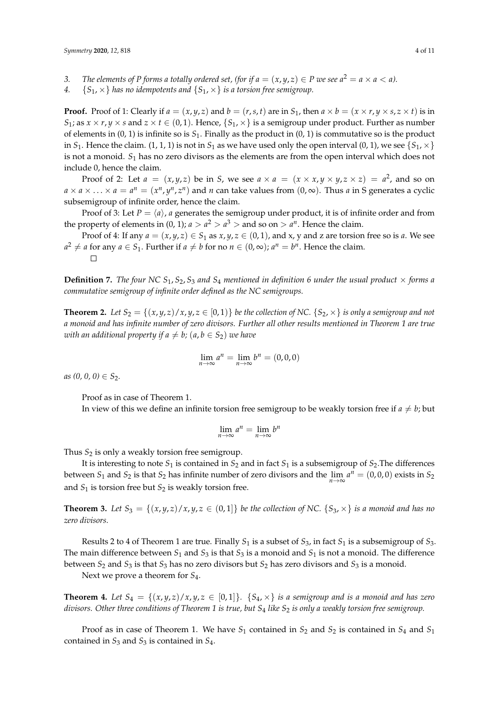*3. The elements of P forms a totally ordered set, (for if*  $a = (x, y, z) \in P$  *we see*  $a^2 = a \times a < a$ *).* 

*4.*  ${S_1, \times}$  *has no idempotents and*  ${S_1, \times}$  *is a torsion free semigroup.* 

**Proof.** Proof of 1: Clearly if  $a = (x, y, z)$  and  $b = (r, s, t)$  are in  $S_1$ , then  $a \times b = (x \times r, y \times s, z \times t)$  is in *S*<sub>1</sub>; as  $x \times r$ ,  $y \times s$  and  $z \times t \in (0, 1)$ . Hence,  $\{S_1, \times\}$  is a semigroup under product. Further as number of elements in  $(0, 1)$  is infinite so is  $S_1$ . Finally as the product in  $(0, 1)$  is commutative so is the product in *S*<sub>1</sub>. Hence the claim. (1, 1, 1) is not in *S*<sub>1</sub> as we have used only the open interval (0, 1), we see  ${S_1, \times}$ is not a monoid. *S*<sup>1</sup> has no zero divisors as the elements are from the open interval which does not include 0, hence the claim.

Proof of 2: Let  $a = (x, y, z)$  be in *S*, we see  $a \times a = (x \times x, y \times y, z \times z) = a^2$ , and so on  $a \times a \times ... \times a = a^n = (x^n, y^n, z^n)$  and *n* can take values from  $(0, \infty)$ . Thus *a* in S generates a cyclic subsemigroup of infinite order, hence the claim.

Proof of 3: Let  $P = \langle a \rangle$ , *a* generates the semigroup under product, it is of infinite order and from the property of elements in  $(0, 1)$ ;  $a > a^2 > a^3 >$  and so on  $> a^n$ . Hence the claim.

Proof of 4: If any  $a = (x, y, z) \in S_1$  as  $x, y, z \in (0, 1)$ , and x, y and z are torsion free so is a. We see  $a^2 \neq a$  for any  $a \in S_1$ . Further if  $a \neq b$  for no  $n \in (0, \infty)$ ;  $a^n = b^n$ . Hence the claim.

**Definition 7.** *The four NC*  $S_1$ ,  $S_2$ ,  $S_3$  *and*  $S_4$  *mentioned in definition* 6 *under the usual product*  $\times$  *forms a commutative semigroup of infinite order defined as the NC semigroups.*

**Theorem 2.** Let  $S_2 = \{(x, y, z)/x, y, z \in [0, 1)\}$  be the collection of NC.  $\{S_2, x\}$  is only a semigroup and not *a monoid and has infinite number of zero divisors. Further all other results mentioned in Theorem 1 are true with an additional property if*  $a \neq b$ *;*  $(a, b \in S_2)$  *we have* 

$$
\lim_{n \to \infty} a^n = \lim_{n \to \infty} b^n = (0, 0, 0)
$$

 $as (0, 0, 0) \in S_2$ .

Proof as in case of Theorem 1.

In view of this we define an infinite torsion free semigroup to be weakly torsion free if  $a \neq b$ ; but

$$
\lim_{n\to\infty}a^n=\lim_{n\to\infty}b^n
$$

Thus *S*<sup>2</sup> is only a weakly torsion free semigroup.

It is interesting to note  $S_1$  is contained in  $S_2$  and in fact  $S_1$  is a subsemigroup of  $S_2$ . The differences between  $S_1$  and  $S_2$  is that  $S_2$  has infinite number of zero divisors and the  $\lim_{n\to\infty} a^n = (0,0,0)$  exists in  $S_2$ and *S*<sup>1</sup> is torsion free but *S*<sup>2</sup> is weakly torsion free.

**Theorem 3.** Let  $S_3 = \{(x, y, z)/x, y, z \in (0, 1]\}$  be the collection of NC.  $\{S_3, x\}$  is a monoid and has no *zero divisors.*

Results 2 to 4 of Theorem 1 are true. Finally  $S_1$  is a subset of  $S_3$ , in fact  $S_1$  is a subsemigroup of  $S_3$ . The main difference between  $S_1$  and  $S_3$  is that  $S_3$  is a monoid and  $S_1$  is not a monoid. The difference between *S*<sup>2</sup> and *S*<sup>3</sup> is that *S*<sup>3</sup> has no zero divisors but *S*<sup>2</sup> has zero divisors and *S*<sup>3</sup> is a monoid.

Next we prove a theorem for *S*4.

**Theorem 4.** Let  $S_4 = \{(x, y, z) / x, y, z \in [0, 1]\}$ .  $\{S_4, \times\}$  is a semigroup and is a monoid and has zero *divisors. Other three conditions of Theorem 1 is true, but S*<sup>4</sup> *like S*<sup>2</sup> *is only a weakly torsion free semigroup.*

Proof as in case of Theorem 1. We have  $S_1$  contained in  $S_2$  and  $S_2$  is contained in  $S_4$  and  $S_1$ contained in *S*<sup>3</sup> and *S*<sup>3</sup> is contained in *S*4.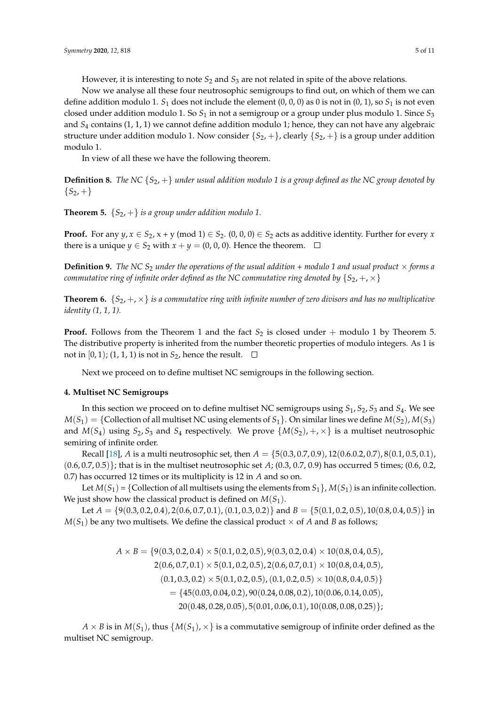However, it is interesting to note  $S_2$  and  $S_3$  are not related in spite of the above relations.

Now we analyse all these four neutrosophic semigroups to find out, on which of them we can define addition modulo 1. *S*<sup>1</sup> does not include the element (0, 0, 0) as 0 is not in (0, 1), so *S*<sup>1</sup> is not even closed under addition modulo 1. So *S*<sup>1</sup> in not a semigroup or a group under plus modulo 1. Since *S*<sup>3</sup> and *S*<sup>4</sup> contains (1, 1, 1) we cannot define addition modulo 1; hence, they can not have any algebraic structure under addition modulo 1. Now consider  $\{S_2, +\}$ , clearly  $\{S_2, +\}$  is a group under addition modulo 1.

In view of all these we have the following theorem.

**Definition 8.** *The NC* {*S*2, +} *under usual addition modulo 1 is a group defined as the NC group denoted by*  ${S_2, +}$ 

**Theorem 5.**  $\{S_2, +\}$  *is a group under addition modulo 1.* 

**Proof.** For any  $y, x \in S_2$ ,  $x + y \pmod{1} \in S_2$ .  $(0, 0, 0) \in S_2$  acts as additive identity. Further for every *x* there is a unique *y*  $\in S_2$  with *x* + *y* = (0, 0, 0). Hence the theorem.  $\square$ 

**Definition 9.** *The NC*  $S_2$  *under the operations of the usual addition + modulo 1 and usual product*  $\times$  *forms a commutative ring of infinite order defined as the NC commutative ring denoted by*  $\{S_2, +, \times\}$ 

**Theorem 6.**  $\{S_{2}, +, \times\}$  *is a commutative ring with infinite number of zero divisors and has no multiplicative identity (1, 1, 1).*

**Proof.** Follows from the Theorem 1 and the fact  $S_2$  is closed under + modulo 1 by Theorem 5. The distributive property is inherited from the number theoretic properties of modulo integers. As 1 is not in  $[0, 1)$ ;  $(1, 1, 1)$  is not in  $S_2$ , hence the result.  $\square$ 

Next we proceed on to define multiset NC semigroups in the following section.

## <span id="page-4-0"></span>**4. Multiset NC Semigroups**

In this section we proceed on to define multiset NC semigroups using *S*1, *S*2, *S*<sup>3</sup> and *S*4. We see  $M(S_1) = \{$  Collection of all multiset NC using elements of  $S_1$ . On similar lines we define  $M(S_2)$ ,  $M(S_3)$ and  $M(S_4)$  using  $S_2$ ,  $S_3$  and  $S_4$  respectively. We prove  $\{M(S_2), +, \times\}$  is a multiset neutrosophic semiring of infinite order.

Recall [\[18\]](#page-10-1), *A* is a multi neutrosophic set, then  $A = \{5(0.3, 0.7, 0.9), 12(0.6.0.2, 0.7), 8(0.1, 0.5, 0.1),$ (0.6, 0.7, 0.5)}; that is in the multiset neutrosophic set *A*; (0.3, 0.7, 0.9) has occurred 5 times; (0.6, 0.2, 0.7) has occurred 12 times or its multiplicity is 12 in *A* and so on.

Let  $M(S_1) = \{$  Collection of all multisets using the elements from  $S_1$ ,  $M(S_1)$  is an infinite collection. We just show how the classical product is defined on  $M(S_1)$ .

Let  $A = \{9(0.3, 0.2, 0.4), 2(0.6, 0.7, 0.1), (0.1, 0.3, 0.2)\}\$  and  $B = \{5(0.1, 0.2, 0.5), 10(0.8, 0.4, 0.5)\}\$  in  $M(S_1)$  be any two multisets. We define the classical product  $\times$  of *A* and *B* as follows;

> $A \times B = \{9(0.3, 0.2, 0.4) \times 5(0.1, 0.2, 0.5), 9(0.3, 0.2, 0.4) \times 10(0.8, 0.4, 0.5),\}$  $2(0.6, 0.7, 0.1) \times 5(0.1, 0.2, 0.5), 2(0.6, 0.7, 0.1) \times 10(0.8, 0.4, 0.5),$  $(0.1, 0.3, 0.2) \times 5(0.1, 0.2, 0.5), (0.1, 0.2, 0.5) \times 10(0.8, 0.4, 0.5)$  $=$  {45(0.03, 0.04, 0.2), 90(0.24, 0.08, 0.2), 10(0.06, 0.14, 0.05),  $20(0.48, 0.28, 0.05), 5(0.01, 0.06, 0.1), 10(0.08, 0.08, 0.25)\};$

 $A \times B$  is in  $M(S_1)$ , thus  $\{M(S_1), \times\}$  is a commutative semigroup of infinite order defined as the multiset NC semigroup.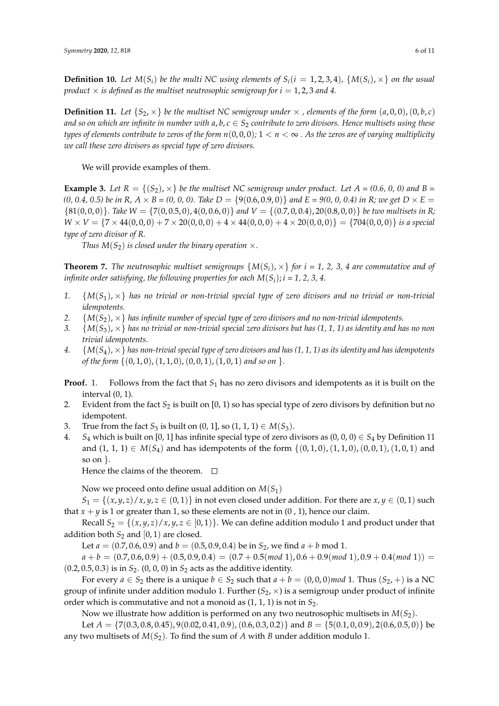**Definition 10.** Let  $M(S_i)$  be the multi NC using elements of  $S_i$  ( $i = 1, 2, 3, 4$ ),  $\{M(S_i), \times\}$  on the usual *product*  $\times$  *is defined as the multiset neutrosophic semigroup for i* = 1, 2, 3 *and* 4.

**Definition 11.** Let  $\{S_2, \times\}$  be the multiset NC semigroup under  $\times$ , elements of the form  $(a, 0, 0)$ ,  $(0, b, c)$ *and so on which are infinite in number with*  $a, b, c \in S_2$  *contribute to zero divisors. Hence multisets using these types of elements contribute to zeros of the form*  $n(0, 0, 0)$ ;  $1 < n < \infty$ . As the zeros are of varying multiplicity *we call these zero divisors as special type of zero divisors.*

We will provide examples of them.

**Example 3.** Let  $R = \{(S_2), \times\}$  be the multiset NC semigroup under product. Let  $A = (0.6, 0, 0)$  and  $B =$ *(0, 0.4, 0.5) be in R, A*  $\times$  *B* = *(0, 0, 0). Take D* = {9(0.6, 0.9, 0)} *and E* = 9(0, 0, 0.4) *in R; we get D*  $\times$  *E* =  $\{81(0,0,0)\}$ . Take  $W = \{7(0,0.5,0), 4(0,0.6,0)\}$  and  $V = \{(0.7,0,0.4), 20(0.8,0,0)\}$  be two multisets in R;  $W \times V = \{7 \times 44(0,0,0) + 7 \times 20(0,0,0) + 4 \times 44(0,0,0) + 4 \times 20(0,0,0)\} = \{704(0,0,0)\}\$ is a special *type of zero divisor of R.*

*Thus*  $M(S_2)$  *is closed under the binary operation*  $\times$ *.* 

**Theorem 7.** The neutrosophic multiset semigroups  $\{M(S_i), \times\}$  for  $i = 1, 2, 3, 4$  are commutative and of *infinite order satisfying, the following properties for each*  $M(S_i)$ ;  $i = 1, 2, 3, 4$ .

- *1.* {*M*(*S*1), ×} *has no trivial or non-trivial special type of zero divisors and no trivial or non-trivial idempotents.*
- 2.  ${M(S_2), \times}$  *has infinite number of special type of zero divisors and no non-trivial idempotents.*
- *3.* {*M*(*S*3), ×} *has no trivial or non-trivial special zero divisors but has (1, 1, 1) as identity and has no non trivial idempotents.*
- *4.* {*M*(*S*4), ×} *has non-trivial special type of zero divisors and has (1, 1, 1) as its identity and has idempotents of the form*  $\{(0,1,0), (1,1,0), (0,0,1), (1,0,1)$  *and so on*  $\}$ *.*
- **Proof.** 1. Follows from the fact that  $S_1$  has no zero divisors and idempotents as it is built on the interval (0, 1).
- 2. Evident from the fact  $S_2$  is built on [0, 1) so has special type of zero divisors by definition but no idempotent.
- 3. True from the fact  $S_3$  is built on  $(0, 1]$ , so  $(1, 1, 1) \in M(S_3)$ .
- 4. *S*<sub>4</sub> which is built on [0, 1] has infinite special type of zero divisors as  $(0, 0, 0) \in S_4$  by Definition 11 and  $(1, 1, 1) \in M(S_4)$  and has idempotents of the form  $\{(0, 1, 0), (1, 1, 0), (0, 0, 1), (1, 0, 1)\}$  and so on  $\}$ .

Hence the claims of the theorem.  $\square$ 

Now we proceed onto define usual addition on  $M(S_1)$ 

 $S_1 = \{(x, y, z)/x, y, z \in (0, 1)\}\$ in not even closed under addition. For there are  $x, y \in (0, 1)$  such that  $x + y$  is 1 or greater than 1, so these elements are not in  $(0, 1)$ , hence our claim.

Recall  $S_2 = \{(x, y, z)/x, y, z \in [0, 1)\}\.$  We can define addition modulo 1 and product under that addition both  $S_2$  and  $[0, 1)$  are closed.

Let  $a = (0.7, 0.6, 0.9)$  and  $b = (0.5, 0.9, 0.4)$  be in  $S_2$ , we find  $a + b$  mod 1.

 $a + b = (0.7, 0.6, 0.9) + (0.5, 0.9, 0.4) = (0.7 + 0.5 \pmod{1}, 0.6 + 0.9 \pmod{1}, 0.9 + 0.4 \pmod{1}) =$ (0.2, 0.5, 0.3) is in *S*2. (0, 0, 0) in *S*<sup>2</sup> acts as the additive identity.

For every  $a \in S_2$  there is a unique  $b \in S_2$  such that  $a + b = (0, 0, 0) \mod 1$ . Thus  $(S_2, +)$  is a NC group of infinite under addition modulo 1. Further  $(S_2, \times)$  is a semigroup under product of infinite order which is commutative and not a monoid as (1, 1, 1) is not in *S*2.

Now we illustrate how addition is performed on any two neutrosophic multisets in  $M(S_2)$ .

Let  $A = \{7(0.3, 0.8, 0.45), 9(0.02, 0.41, 0.9), (0.6, 0.3, 0.2)\}\$  and  $B = \{5(0.1, 0, 0.9), 2(0.6, 0.5, 0)\}\$ be any two multisets of  $M(S_2)$ . To find the sum of *A* with *B* under addition modulo 1.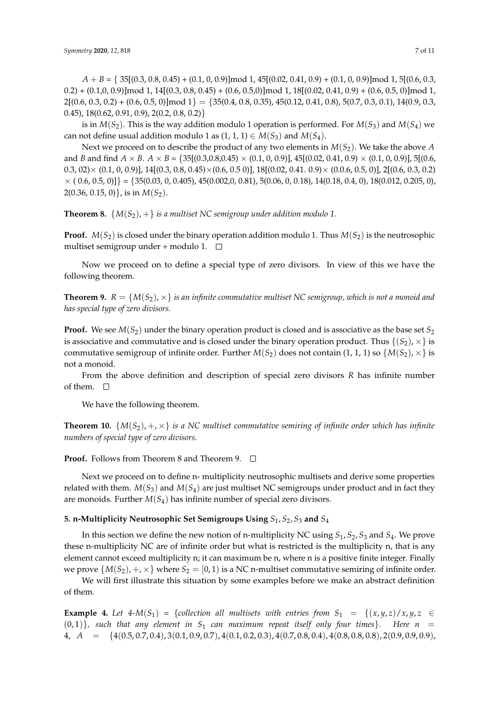*A* + *B* = { 35[(0.3, 0.8, 0.45) + (0.1, 0, 0.9)]mod 1, 45[(0.02, 0.41, 0.9) + (0.1, 0, 0.9)]mod 1, 5[(0.6, 0.3,  $(0.2) + (0.1,0,0.9)$ ]mod 1, 14 $[(0.3, 0.8, 0.45) + (0.6, 0.5, 0)$ ]mod 1, 18 $[(0.02, 0.41, 0.9) + (0.6, 0.5, 0)$ ]mod 1,  $2[(0.6, 0.3, 0.2) + (0.6, 0.5, 0)] \text{mod } 1$  = {35(0.4, 0.8, 0.35), 45(0.12, 0.41, 0.8), 5(0.7, 0.3, 0.1), 14(0.9, 0.3, 0.45),  $18(0.62, 0.91, 0.9)$ ,  $2(0.2, 0.8, 0.2)$ 

is in  $M(S_2)$ . This is the way addition modulo 1 operation is performed. For  $M(S_3)$  and  $M(S_4)$  we can not define usual addition modulo 1 as  $(1, 1, 1) \in M(S_3)$  and  $M(S_4)$ .

Next we proceed on to describe the product of any two elements in *M*(*S*2). We take the above *A* and *B* and find  $A \times B$ .  $A \times B = \{35[(0.3,0.8,0.45) \times (0.1, 0, 0.9)]$ , 45 $[(0.02, 0.41, 0.9) \times (0.1, 0, 0.9)]$ , 5 $[(0.6, 0.9) \times (0.1, 0.9) \times (0.1, 0.9)]$  $(0.3, 02) \times (0.1, 0, 0.9)$ ],  $14[(0.3, 0.8, 0.45) \times (0.6, 0.5, 0)]$ ,  $18[(0.02, 0.41, 0.9) \times (0.0.6, 0.5, 0)]$ ,  $2[(0.6, 0.3, 0.2)$  $\times (0.6, 0.5, 0)] = \{35(0.03, 0, 0.405), 45(0.002, 0, 0.81), 5(0.06, 0, 0.18), 14(0.18, 0.4, 0), 18(0.012, 0.205, 0),$ 2(0.36, 0.15, 0)}, is in *M*(*S*2).

**Theorem 8.**  $\{M(S_2), +\}$  *is a multiset NC semigroup under addition modulo 1.* 

**Proof.**  $M(S_2)$  is closed under the binary operation addition modulo 1. Thus  $M(S_2)$  is the neutrosophic multiset semigroup under + modulo 1.  $\square$ 

Now we proceed on to define a special type of zero divisors. In view of this we have the following theorem.

**Theorem 9.**  $R = \{M(S_2), \times\}$  *is an infinite commutative multiset NC semigroup, which is not a monoid and has special type of zero divisors.*

**Proof.** We see  $M(S_2)$  under the binary operation product is closed and is associative as the base set  $S_2$ is associative and commutative and is closed under the binary operation product. Thus  $\{(S_2),\times\}$  is commutative semigroup of infinite order. Further  $M(S_2)$  does not contain (1, 1, 1) so  $\{M(S_2),\times\}$  is not a monoid.

From the above definition and description of special zero divisors *R* has infinite number of them.  $\square$ 

We have the following theorem.

**Theorem 10.**  $\{M(S_2), +, \times\}$  *is a NC multiset commutative semiring of infinite order which has infinite numbers of special type of zero divisors.*

**Proof.** Follows from Theorem 8 and Theorem 9. □

Next we proceed on to define n- multiplicity neutrosophic multisets and derive some properties related with them.  $M(S_3)$  and  $M(S_4)$  are just multiset NC semigroups under product and in fact they are monoids. Further  $M(S_4)$  has infinite number of special zero divisors.

## <span id="page-6-0"></span>**5. n-Multiplicity Neutrosophic Set Semigroups Using** *S*1, *S*2, *S*<sup>3</sup> **and** *S*<sup>4</sup>

In this section we define the new notion of n-multiplicity NC using *S*1, *S*2, *S*<sup>3</sup> and *S*4. We prove these n-multiplicity NC are of infinite order but what is restricted is the multiplicity n, that is any element cannot exceed multiplicity n; it can maximum be n, where n is a positive finite integer. Finally we prove  $\{M(S_2), +, \times\}$  where  $S_2 = [0, 1)$  is a NC n-multiset commutative semiring of infinite order.

We will first illustrate this situation by some examples before we make an abstract definition of them.

**Example 4.** Let  $4-M(S_1) = \{ \text{collection all multisets with entries from } S_1 = \{(x,y,z)/x,y,z \in S_1\}$  $(0, 1)$ }, such that any element in S<sub>1</sub> can maximum repeat itself only four times}. Here  $n =$ 4, *A* = {4(0.5, 0.7, 0.4), 3(0.1, 0.9, 0.7), 4(0.1, 0.2, 0.3), 4(0.7, 0.8, 0.4), 4(0.8, 0.8, 0.8), 2(0.9, 0.9, 0.9),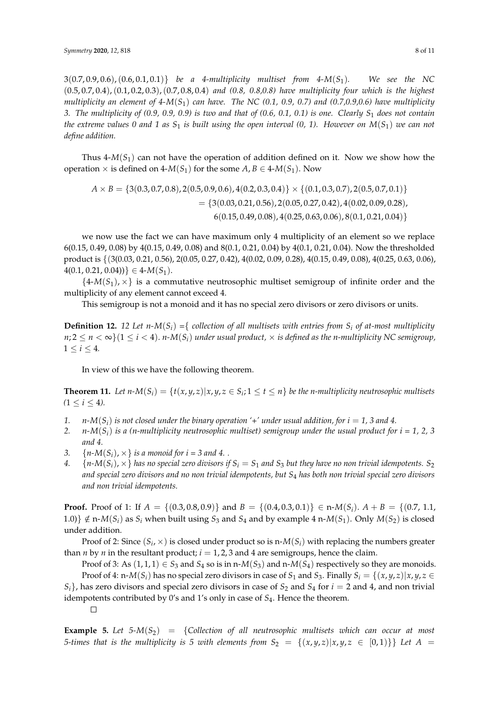3(0.7, 0.9, 0.6),(0.6, 0.1, 0.1)} *be a 4-multiplicity multiset from 4-M*(*S*1)*. We see the NC* (0.5, 0.7, 0.4),(0.1, 0.2, 0.3),(0.7, 0.8, 0.4) *and (0.8, 0.8,0.8) have multiplicity four which is the highest multiplicity an element of 4-M*(*S*1) *can have. The NC (0.1, 0.9, 0.7) and (0.7,0.9,0.6) have multiplicity 3. The multiplicity of (0.9, 0.9, 0.9) is two and that of (0.6, 0.1, 0.1) is one. Clearly S*<sup>1</sup> *does not contain the extreme values 0 and 1 as*  $S_1$  *is built using the open interval (0, 1). However on*  $M(S_1)$  *we can not define addition.*

Thus  $4-M(S_1)$  can not have the operation of addition defined on it. Now we show how the operation  $\times$  is defined on 4-*M*(*S*<sub>1</sub>) for the some *A*, *B*  $\in$  4-*M*(*S*<sub>1</sub>). Now

$$
A \times B = \{3(0.3, 0.7, 0.8), 2(0.5, 0.9, 0.6), 4(0.2, 0.3, 0.4)\} \times \{(0.1, 0.3, 0.7), 2(0.5, 0.7, 0.1)\}
$$
  
=  $\{3(0.03, 0.21, 0.56), 2(0.05, 0.27, 0.42), 4(0.02, 0.09, 0.28), 6(0.15, 0.49, 0.08), 4(0.25, 0.63, 0.06), 8(0.1, 0.21, 0.04)\}$ 

we now use the fact we can have maximum only 4 multiplicity of an element so we replace 6(0.15, 0.49, 0.08) by 4(0.15, 0.49, 0.08) and 8(0.1, 0.21, 0.04) by 4(0.1, 0.21, 0.04). Now the thresholded product is {(3(0.03, 0.21, 0.56), 2(0.05, 0.27, 0.42), 4(0.02, 0.09, 0.28), 4(0.15, 0.49, 0.08), 4(0.25, 0.63, 0.06),  $4(0.1, 0.21, 0.04))$   $\in 4-M(S_1)$ .

 ${4-M(S_1),\times}$  is a commutative neutrosophic multiset semigroup of infinite order and the multiplicity of any element cannot exceed 4.

This semigroup is not a monoid and it has no special zero divisors or zero divisors or units.

**Definition 12.** 12 Let  $n-M(S_i) = \{$  collection of all multisets with entries from  $S_i$  of at-most multiplicity  $n; 2 \le n < \infty$  { $1 \le i < 4$ }. *n*-*M*(*S<sub>i</sub>*) *under usual product*,  $\times$  *is defined as the n-multiplicity NC semigroup,*  $1 \le i \le 4$ .

In view of this we have the following theorem.

**Theorem 11.** Let  $n$ - $M(S_i) = \{t(x, y, z) | x, y, z \in S_i; 1 \le t \le n\}$  be the n-multiplicity neutrosophic multisets  $(1 \le i \le 4)$ .

- 1. *n*- $M(S_i)$  is not closed under the binary operation '+' under usual addition, for  $i = 1$ , 3 and 4.
- 2. *n*- $M(S_i)$  *is a (n-multiplicity neutrosophic multiset) semigroup under the usual product for i = 1, 2, 3 and 4.*
- 3.  ${n-M(S_i), \times}$  *is a monoid for i* = 3 *and* 4...
- 4.  $\{n-M(S_i),\times\}$  *has no special zero divisors if*  $S_i = S_1$  *and*  $S_3$  *but they have no non trivial idempotents.*  $S_2$ *and special zero divisors and no non trivial idempotents, but S*<sup>4</sup> *has both non trivial special zero divisors and non trivial idempotents.*

**Proof.** Proof of 1: If  $A = \{(0.3, 0.8, 0.9)\}$  and  $B = \{(0.4, 0.3, 0.1)\} \in \mathbb{R}$ - $M(S_i)$ .  $A + B = \{(0.7, 1.1, 0.4, 0.3, 0.1)\}$ 1.0)}  $\notin$  n-*M*(*S*<sub>*i*</sub>) as *S*<sub>*i*</sub> when built using *S*<sub>3</sub> and *S*<sub>4</sub> and by example 4 n-*M*(*S*<sub>1</sub>). Only *M*(*S*<sub>2</sub>) is closed under addition.

Proof of 2: Since  $(S_i, \times)$  is closed under product so is n- $M(S_i)$  with replacing the numbers greater than *n* by *n* in the resultant product;  $i = 1, 2, 3$  and 4 are semigroups, hence the claim.

Proof of 3: As  $(1, 1, 1) \in S_3$  and  $S_4$  so is in n- $M(S_3)$  and n- $M(S_4)$  respectively so they are monoids. Proof of 4: n- $M(S_i)$  has no special zero divisors in case of  $S_1$  and  $S_3$ . Finally  $S_i = \{(x, y, z) | x, y, z \in S_1\}$  $S_i$ , has zero divisors and special zero divisors in case of  $S_2$  and  $S_4$  for  $i = 2$  and 4, and non trivial idempotents contributed by 0's and 1's only in case of *S*4. Hence the theorem.

 $\Box$ 

**Example 5.** Let  $5-M(S_2) = \{Collection of all networks multiple the *multisets* which can occur at most$ *5-times that is the multiplicity is 5 with elements from*  $S_2 = \{(x, y, z) | x, y, z \in [0, 1)\}\}$  Let  $A =$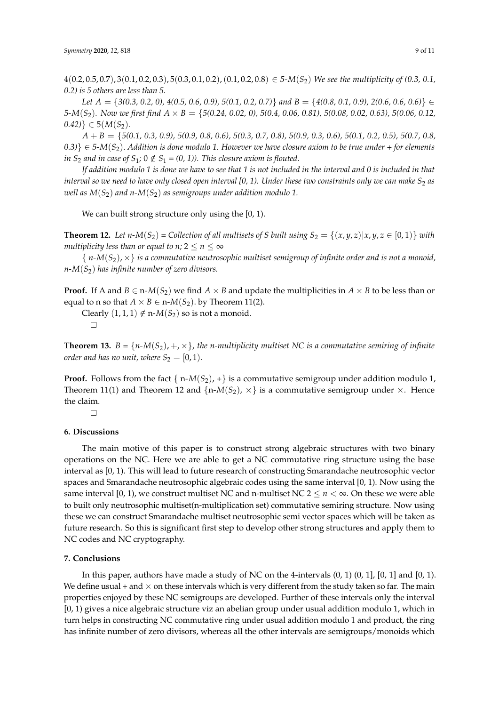4(0.2, 0.5, 0.7), 3(0.1, 0.2, 0.3), 5(0.3, 0.1, 0.2),(0.1, 0.2, 0.8) ∈ *5-M*(*S*2) *We see the multiplicity of (0.3, 0.1, 0.2) is 5 others are less than 5.*

*Let A* = {*3(0.3, 0.2, 0), 4(0.5, 0.6, 0.9), 5(0.1, 0.2, 0.7)*} *and B* = {*4(0.8, 0.1, 0.9), 2(0.6, 0.6, 0.6)*} ∈ *5-M*(*S*2)*. Now we first find A* × *B* = {*5(0.24, 0.02, 0), 5(0.4, 0.06, 0.81), 5(0.08, 0.02, 0.63), 5(0.06, 0.12,*  $(0.42)$ }  $\in$  5(*M*(*S*<sub>2</sub>)*.* 

*A* + *B* = {*5(0.1, 0.3, 0.9), 5(0.9, 0.8, 0.6), 5(0.3, 0.7, 0.8), 5(0.9, 0.3, 0.6), 5(0.1, 0.2, 0.5), 5(0.7, 0.8, 0.3)*} ∈ *5-M*(*S*2). *Addition is done modulo 1. However we have closure axiom to be true under + for elements in*  $S_2$  *and in case of*  $S_1$ *;*  $0 \notin S_1$  = (0, 1)). This closure axiom is flouted.

*If addition modulo 1 is done we have to see that 1 is not included in the interval and 0 is included in that interval so we need to have only closed open interval [0, 1). Under these two constraints only we can make*  $S_2$  *as well as*  $M(S_2)$  *and n-* $M(S_2)$  *as semigroups under addition modulo* 1.

We can built strong structure only using the [0, 1).

**Theorem 12.** Let  $n-M(S_2)$  = Collection of all multisets of S built using  $S_2 = \{(x, y, z) | x, y, z \in [0, 1)\}\$  with *multiplicity less than or equal to n;*  $2 \le n \le \infty$ 

{ *n-M*(*S*2), ×} *is a commutative neutrosophic multiset semigroup of infinite order and is not a monoid, n-M*(*S*2) *has infinite number of zero divisors.*

**Proof.** If A and  $B \in \text{n-}M(S_2)$  we find  $A \times B$  and update the multiplicities in  $A \times B$  to be less than or equal to n so that  $A \times B \in \text{n-M}(S_2)$ . by Theorem 11(2).

Clearly  $(1, 1, 1) \notin n-M(S_2)$  so is not a monoid.  $\Box$ 

**Theorem 13.**  $B = \{n-M(S_2), +, \times\}$ , the *n*-multiplicity multiset NC is a commutative semiring of infinite *order and has no unit, where*  $S_2 = [0, 1)$ *.* 

**Proof.** Follows from the fact  $\{ n-M(S_2), + \}$  is a commutative semigroup under addition modulo 1, Theorem 11(1) and Theorem 12 and  $\{n-M(S_2),\times\}$  is a commutative semigroup under  $\times$ . Hence the claim.

 $\Box$ 

#### <span id="page-8-0"></span>**6. Discussions**

The main motive of this paper is to construct strong algebraic structures with two binary operations on the NC. Here we are able to get a NC commutative ring structure using the base interval as [0, 1). This will lead to future research of constructing Smarandache neutrosophic vector spaces and Smarandache neutrosophic algebraic codes using the same interval [0, 1). Now using the same interval [0, 1], we construct multiset NC and n-multiset NC  $2 \le n < \infty$ . On these we were able to built only neutrosophic multiset(n-multiplication set) commutative semiring structure. Now using these we can construct Smarandache multiset neutrosophic semi vector spaces which will be taken as future research. So this is significant first step to develop other strong structures and apply them to NC codes and NC cryptography.

### **7. Conclusions**

In this paper, authors have made a study of NC on the 4-intervals  $(0, 1)$   $(0, 1]$ ,  $[0, 1]$  and  $[0, 1)$ . We define usual + and  $\times$  on these intervals which is very different from the study taken so far. The main properties enjoyed by these NC semigroups are developed. Further of these intervals only the interval [0, 1) gives a nice algebraic structure viz an abelian group under usual addition modulo 1, which in turn helps in constructing NC commutative ring under usual addition modulo 1 and product, the ring has infinite number of zero divisors, whereas all the other intervals are semigroups/monoids which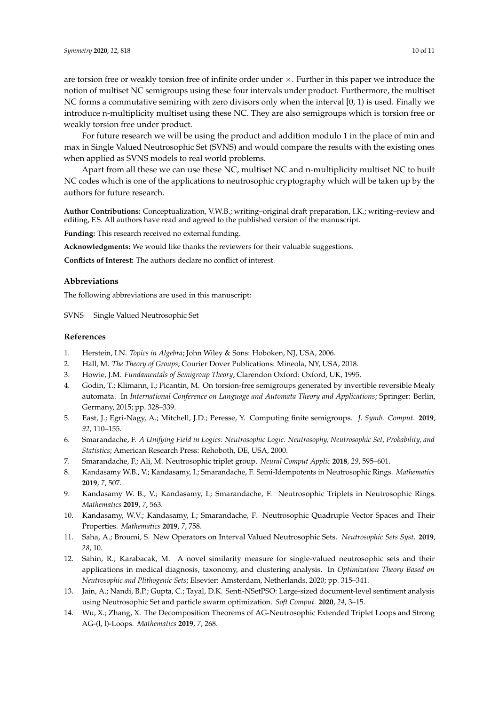are torsion free or weakly torsion free of infinite order under ×. Further in this paper we introduce the notion of multiset NC semigroups using these four intervals under product. Furthermore, the multiset NC forms a commutative semiring with zero divisors only when the interval [0, 1) is used. Finally we introduce n-multiplicity multiset using these NC. They are also semigroups which is torsion free or weakly torsion free under product.

For future research we will be using the product and addition modulo 1 in the place of min and max in Single Valued Neutrosophic Set (SVNS) and would compare the results with the existing ones when applied as SVNS models to real world problems.

Apart from all these we can use these NC, multiset NC and n-multiplicity multiset NC to built NC codes which is one of the applications to neutrosophic cryptography which will be taken up by the authors for future research.

**Author Contributions:** Conceptualization, V.W.B.; writing–original draft preparation, I.K.; writing–review and editing, F.S. All authors have read and agreed to the published version of the manuscript.

**Funding:** This research received no external funding.

**Acknowledgments:** We would like thanks the reviewers for their valuable suggestions.

**Conflicts of Interest:** The authors declare no conflict of interest.

### **Abbreviations**

The following abbreviations are used in this manuscript:

SVNS Single Valued Neutrosophic Set

#### **References**

- <span id="page-9-0"></span>1. Herstein, I.N. *Topics in Algebra*; John Wiley & Sons: Hoboken, NJ, USA, 2006.
- 2. Hall, M. *The Theory of Groups*; Courier Dover Publications: Mineola, NY, USA, 2018.
- 3. Howie, J.M. *Fundamentals of Semigroup Theory*; Clarendon Oxford: Oxford, UK, 1995.
- 4. Godin, T.; Klimann, I.; Picantin, M. On torsion-free semigroups generated by invertible reversible Mealy automata. In *International Conference on Language and Automata Theory and Applications*; Springer: Berlin, Germany, 2015; pp. 328–339.
- <span id="page-9-1"></span>5. East, J.; Egri-Nagy, A.; Mitchell, J.D.; Peresse, Y. Computing finite semigroups. *J. Symb. Comput.* **2019**, *92*, 110–155.
- <span id="page-9-2"></span>6. Smarandache, F. *A Unifying Field in Logics: Neutrosophic Logic. Neutrosophy, Neutrosophic Set, Probability, and Statistics*; American Research Press: Rehoboth, DE, USA, 2000.
- <span id="page-9-7"></span><span id="page-9-3"></span>7. Smarandache, F.; Ali, M. Neutrosophic triplet group. *Neural Comput Applic* **2018**, *29*, 595–601.
- 8. Kandasamy W.B., V.; Kandasamy, I.; Smarandache, F. Semi-Idempotents in Neutrosophic Rings. *Mathematics* **2019**, *7*, 507.
- 9. Kandasamy W. B., V.; Kandasamy, I.; Smarandache, F. Neutrosophic Triplets in Neutrosophic Rings. *Mathematics* **2019**, *7*, 563.
- 10. Kandasamy, W.V.; Kandasamy, I.; Smarandache, F. Neutrosophic Quadruple Vector Spaces and Their Properties. *Mathematics* **2019**, *7*, 758.
- <span id="page-9-4"></span>11. Saha, A.; Broumi, S. New Operators on Interval Valued Neutrosophic Sets. *Neutrosophic Sets Syst.* **2019**, *28*, 10.
- <span id="page-9-5"></span>12. Sahin, R.; Karabacak, M. A novel similarity measure for single-valued neutrosophic sets and their applications in medical diagnosis, taxonomy, and clustering analysis. In *Optimization Theory Based on Neutrosophic and Plithogenic Sets*; Elsevier: Amsterdam, Netherlands, 2020; pp. 315–341.
- <span id="page-9-6"></span>13. Jain, A.; Nandi, B.P.; Gupta, C.; Tayal, D.K. Senti-NSetPSO: Large-sized document-level sentiment analysis using Neutrosophic Set and particle swarm optimization. *Soft Comput.* **2020**, *24*, 3–15.
- <span id="page-9-8"></span>14. Wu, X.; Zhang, X. The Decomposition Theorems of AG-Neutrosophic Extended Triplet Loops and Strong AG-(l, l)-Loops. *Mathematics* **2019**, *7*, 268.